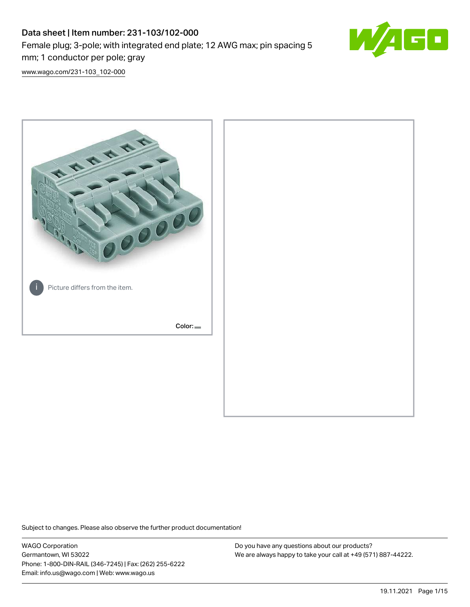# Data sheet | Item number: 231-103/102-000 Female plug; 3-pole; with integrated end plate; 12 AWG max; pin spacing 5 mm; 1 conductor per pole; gray



[www.wago.com/231-103\\_102-000](http://www.wago.com/231-103_102-000)



Subject to changes. Please also observe the further product documentation!

WAGO Corporation Germantown, WI 53022 Phone: 1-800-DIN-RAIL (346-7245) | Fax: (262) 255-6222 Email: info.us@wago.com | Web: www.wago.us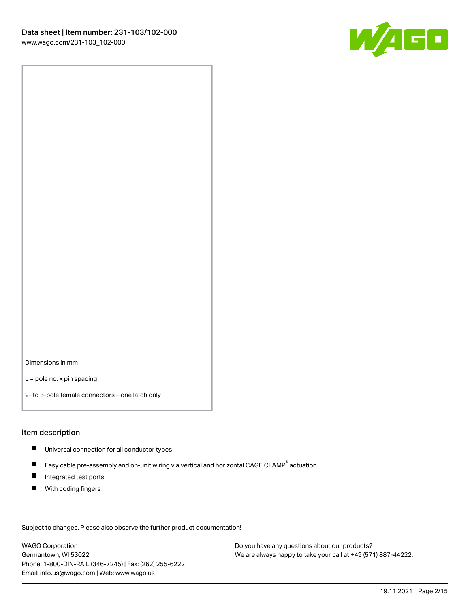

Dimensions in mm

L = pole no. x pin spacing

2- to 3-pole female connectors – one latch only

#### Item description

- **Universal connection for all conductor types**
- Easy cable pre-assembly and on-unit wiring via vertical and horizontal CAGE CLAMP<sup>®</sup> actuation  $\blacksquare$
- $\blacksquare$ Integrated test ports
- $\blacksquare$ With coding fingers

Subject to changes. Please also observe the further product documentation! Data

WAGO Corporation Germantown, WI 53022 Phone: 1-800-DIN-RAIL (346-7245) | Fax: (262) 255-6222 Email: info.us@wago.com | Web: www.wago.us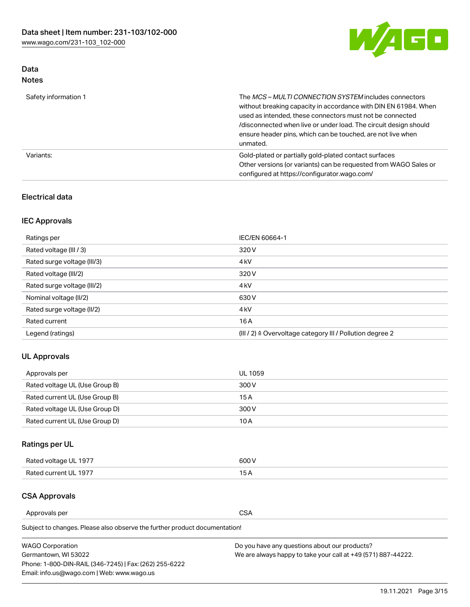

### Data Notes

| Safety information 1 | The MCS-MULTI CONNECTION SYSTEM includes connectors<br>without breaking capacity in accordance with DIN EN 61984. When<br>used as intended, these connectors must not be connected<br>/disconnected when live or under load. The circuit design should<br>ensure header pins, which can be touched, are not live when<br>unmated. |
|----------------------|-----------------------------------------------------------------------------------------------------------------------------------------------------------------------------------------------------------------------------------------------------------------------------------------------------------------------------------|
| Variants:            | Gold-plated or partially gold-plated contact surfaces<br>Other versions (or variants) can be requested from WAGO Sales or<br>configured at https://configurator.wago.com/                                                                                                                                                         |

### Electrical data

### IEC Approvals

| Ratings per                 | IEC/EN 60664-1                                                        |  |
|-----------------------------|-----------------------------------------------------------------------|--|
| Rated voltage (III / 3)     | 320 V                                                                 |  |
| Rated surge voltage (III/3) | 4 <sub>k</sub> V                                                      |  |
| Rated voltage (III/2)       | 320 V                                                                 |  |
| Rated surge voltage (III/2) | 4 <sub>k</sub> V                                                      |  |
| Nominal voltage (II/2)      | 630 V                                                                 |  |
| Rated surge voltage (II/2)  | 4 <sub>k</sub> V                                                      |  |
| Rated current               | 16A                                                                   |  |
| Legend (ratings)            | $(III / 2)$ $\triangle$ Overvoltage category III / Pollution degree 2 |  |

### UL Approvals

| Approvals per                  | UL 1059 |
|--------------------------------|---------|
| Rated voltage UL (Use Group B) | 300 V   |
| Rated current UL (Use Group B) | 15 A    |
| Rated voltage UL (Use Group D) | 300 V   |
| Rated current UL (Use Group D) | 10 A    |

# Ratings per UL

| Rated voltage UL 1977 | 600 V         |
|-----------------------|---------------|
| Rated current UL 1977 | $\sim$ $\sim$ |

### CSA Approvals

Approvals per CSA

Subject to changes. Please also observe the further product documentation!

| <b>WAGO Corporation</b>                                | Do you have any questions about our products?                 |
|--------------------------------------------------------|---------------------------------------------------------------|
| Germantown, WI 53022                                   | We are always happy to take your call at +49 (571) 887-44222. |
| Phone: 1-800-DIN-RAIL (346-7245)   Fax: (262) 255-6222 |                                                               |
| Email: info.us@wago.com   Web: www.wago.us             |                                                               |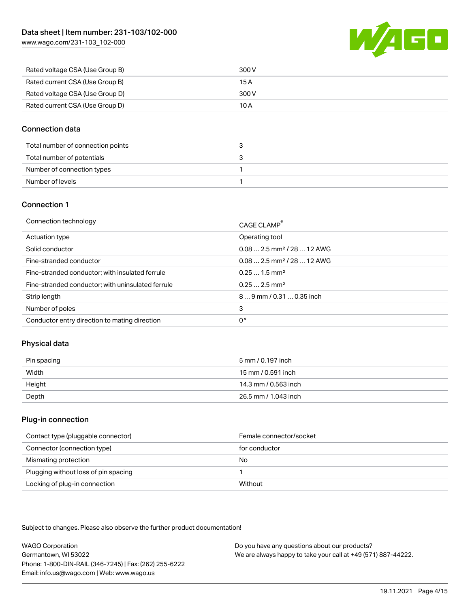[www.wago.com/231-103\\_102-000](http://www.wago.com/231-103_102-000)



| Rated voltage CSA (Use Group B) | 300 V |
|---------------------------------|-------|
| Rated current CSA (Use Group B) | 15 A  |
| Rated voltage CSA (Use Group D) | 300 V |
| Rated current CSA (Use Group D) | 10 A  |

#### Connection data

| Total number of connection points |  |
|-----------------------------------|--|
| Total number of potentials        |  |
| Number of connection types        |  |
| Number of levels                  |  |

#### Connection 1

| Connection technology                             | CAGE CLAMP <sup>®</sup>                 |
|---------------------------------------------------|-----------------------------------------|
| Actuation type                                    | Operating tool                          |
| Solid conductor                                   | $0.082.5$ mm <sup>2</sup> / 28  12 AWG  |
| Fine-stranded conductor                           | $0.08$ 2.5 mm <sup>2</sup> / 28  12 AWG |
| Fine-stranded conductor; with insulated ferrule   | $0.251.5$ mm <sup>2</sup>               |
| Fine-stranded conductor; with uninsulated ferrule | $0.252.5$ mm <sup>2</sup>               |
| Strip length                                      | 89 mm / 0.31  0.35 inch                 |
| Number of poles                                   | 3                                       |
| Conductor entry direction to mating direction     | 0°                                      |

### Physical data

| Pin spacing | 5 mm / 0.197 inch    |
|-------------|----------------------|
| Width       | 15 mm / 0.591 inch   |
| Height      | 14.3 mm / 0.563 inch |
| Depth       | 26.5 mm / 1.043 inch |

#### Plug-in connection

| Contact type (pluggable connector)   | Female connector/socket |
|--------------------------------------|-------------------------|
| Connector (connection type)          | for conductor           |
| Mismating protection                 | No                      |
| Plugging without loss of pin spacing |                         |
| Locking of plug-in connection        | Without                 |

Subject to changes. Please also observe the further product documentation!

WAGO Corporation Germantown, WI 53022 Phone: 1-800-DIN-RAIL (346-7245) | Fax: (262) 255-6222 Email: info.us@wago.com | Web: www.wago.us Do you have any questions about our products? We are always happy to take your call at +49 (571) 887-44222.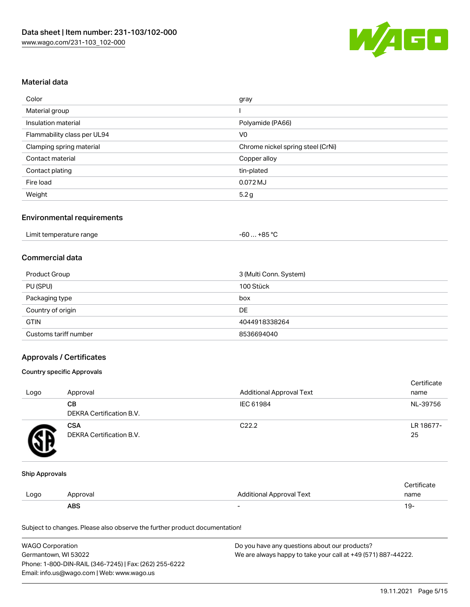

#### Material data

| Color                       | gray                              |
|-----------------------------|-----------------------------------|
| Material group              |                                   |
| Insulation material         | Polyamide (PA66)                  |
| Flammability class per UL94 | V <sub>0</sub>                    |
| Clamping spring material    | Chrome nickel spring steel (CrNi) |
| Contact material            | Copper alloy                      |
| Contact plating             | tin-plated                        |
| Fire load                   | 0.072 MJ                          |
| Weight                      | 5.2 <sub>g</sub>                  |

#### Environmental requirements

| Limit temperature range<br>$\blacksquare$ . The contract of the contract of the contract of the contract of the contract of the contract of the contract of the contract of the contract of the contract of the contract of the contract of the contract of the | −60 … +85 °Ր |  |
|-----------------------------------------------------------------------------------------------------------------------------------------------------------------------------------------------------------------------------------------------------------------|--------------|--|
|-----------------------------------------------------------------------------------------------------------------------------------------------------------------------------------------------------------------------------------------------------------------|--------------|--|

#### Commercial data

| Product Group         | 3 (Multi Conn. System) |
|-----------------------|------------------------|
| PU (SPU)              | 100 Stück              |
| Packaging type        | box                    |
| Country of origin     | DE                     |
| <b>GTIN</b>           | 4044918338264          |
| Customs tariff number | 8536694040             |

#### Approvals / Certificates

#### Country specific Approvals

| Logo | Approval                               | <b>Additional Approval Text</b> | Certificate<br>name |
|------|----------------------------------------|---------------------------------|---------------------|
|      | CВ<br>DEKRA Certification B.V.         | IEC 61984                       | NL-39756            |
|      | <b>CSA</b><br>DEKRA Certification B.V. | C <sub>22.2</sub>               | LR 18677-<br>25     |

#### Ship Approvals

|      | ABS      |                          | - ك ا       |
|------|----------|--------------------------|-------------|
| Logo | Approval | Additional Approval Text | name        |
|      |          |                          | ∵ertificate |

Subject to changes. Please also observe the further product documentation!

| <b>WAGO Corporation</b>                                | Do you have any questions about our products?                 |
|--------------------------------------------------------|---------------------------------------------------------------|
| Germantown, WI 53022                                   | We are always happy to take your call at +49 (571) 887-44222. |
| Phone: 1-800-DIN-RAIL (346-7245)   Fax: (262) 255-6222 |                                                               |
| Email: info.us@wago.com   Web: www.wago.us             |                                                               |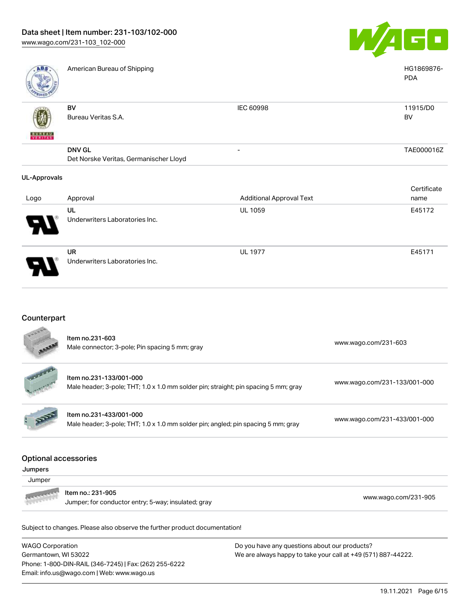Underwriters Laboratories Inc.



| <b>ABS</b>          | American Bureau of Shipping                             |                                 | HG1869876-<br><b>PDA</b> |
|---------------------|---------------------------------------------------------|---------------------------------|--------------------------|
| VERITAS             | BV<br>Bureau Veritas S.A.                               | IEC 60998                       | 11915/D0<br>BV           |
|                     | <b>DNV GL</b><br>Det Norske Veritas, Germanischer Lloyd |                                 | TAE000016Z               |
| <b>UL-Approvals</b> |                                                         |                                 |                          |
|                     |                                                         |                                 | Certificate              |
| Logo                | Approval                                                | <b>Additional Approval Text</b> | name                     |
|                     | UL                                                      | <b>UL 1059</b>                  | E45172                   |
|                     | Underwriters Laboratories Inc.                          |                                 |                          |
|                     | UR                                                      | <b>UL 1977</b>                  | E45171                   |

## Counterpart

|                                        | Item no.231-603<br>Male connector; 3-pole; Pin spacing 5 mm; gray                                              | www.wago.com/231-603         |
|----------------------------------------|----------------------------------------------------------------------------------------------------------------|------------------------------|
|                                        | Item no.231-133/001-000<br>Male header; 3-pole; THT; 1.0 x 1.0 mm solder pin; straight; pin spacing 5 mm; gray | www.wago.com/231-133/001-000 |
|                                        | Item no.231-433/001-000<br>Male header; 3-pole; THT; 1.0 x 1.0 mm solder pin; angled; pin spacing 5 mm; gray   | www.wago.com/231-433/001-000 |
| <b>Optional accessories</b><br>Jumpers |                                                                                                                |                              |
| Jumper                                 |                                                                                                                |                              |
|                                        | Item no.: 231-905<br>Jumper; for conductor entry; 5-way; insulated; gray                                       | www.wago.com/231-905         |
|                                        |                                                                                                                |                              |

Subject to changes. Please also observe the further product documentation!

WAGO Corporation Germantown, WI 53022 Phone: 1-800-DIN-RAIL (346-7245) | Fax: (262) 255-6222 Email: info.us@wago.com | Web: www.wago.us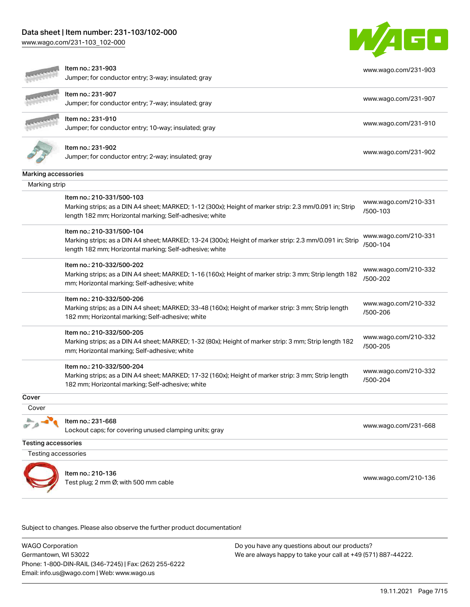### Data sheet | Item number: 231-103/102-000

[www.wago.com/231-103\\_102-000](http://www.wago.com/231-103_102-000)



|                            | Item no.: 231-903                                                                                                                                                 | www.wago.com/231-903             |
|----------------------------|-------------------------------------------------------------------------------------------------------------------------------------------------------------------|----------------------------------|
|                            | Jumper; for conductor entry; 3-way; insulated; gray                                                                                                               |                                  |
|                            | Item no.: 231-907                                                                                                                                                 | www.wago.com/231-907             |
|                            | Jumper; for conductor entry; 7-way; insulated; gray                                                                                                               |                                  |
|                            | Item no.: 231-910                                                                                                                                                 | www.wago.com/231-910             |
|                            | Jumper; for conductor entry; 10-way; insulated; gray                                                                                                              |                                  |
|                            | Item no.: 231-902                                                                                                                                                 |                                  |
|                            | Jumper; for conductor entry; 2-way; insulated; gray                                                                                                               | www.wago.com/231-902             |
| Marking accessories        |                                                                                                                                                                   |                                  |
| Marking strip              |                                                                                                                                                                   |                                  |
|                            | Item no.: 210-331/500-103                                                                                                                                         | www.wago.com/210-331             |
|                            | Marking strips; as a DIN A4 sheet; MARKED; 1-12 (300x); Height of marker strip: 2.3 mm/0.091 in; Strip<br>length 182 mm; Horizontal marking; Self-adhesive; white | /500-103                         |
|                            | Item no.: 210-331/500-104                                                                                                                                         | www.wago.com/210-331             |
|                            | Marking strips; as a DIN A4 sheet; MARKED; 13-24 (300x); Height of marker strip: 2.3 mm/0.091 in; Strip                                                           | /500-104                         |
|                            | length 182 mm; Horizontal marking; Self-adhesive; white                                                                                                           |                                  |
|                            | Item no.: 210-332/500-202                                                                                                                                         | www.wago.com/210-332             |
|                            | Marking strips; as a DIN A4 sheet; MARKED; 1-16 (160x); Height of marker strip: 3 mm; Strip length 182<br>mm; Horizontal marking; Self-adhesive; white            | /500-202                         |
|                            | Item no.: 210-332/500-206                                                                                                                                         | www.wago.com/210-332             |
|                            | Marking strips; as a DIN A4 sheet; MARKED; 33-48 (160x); Height of marker strip: 3 mm; Strip length<br>182 mm; Horizontal marking; Self-adhesive; white           | /500-206                         |
|                            | Item no.: 210-332/500-205                                                                                                                                         |                                  |
|                            | Marking strips; as a DIN A4 sheet; MARKED; 1-32 (80x); Height of marker strip: 3 mm; Strip length 182<br>mm; Horizontal marking; Self-adhesive; white             | www.wago.com/210-332<br>/500-205 |
|                            | Item no.: 210-332/500-204                                                                                                                                         |                                  |
|                            | Marking strips; as a DIN A4 sheet; MARKED; 17-32 (160x); Height of marker strip: 3 mm; Strip length                                                               | www.wago.com/210-332<br>/500-204 |
|                            | 182 mm; Horizontal marking; Self-adhesive; white                                                                                                                  |                                  |
| Cover                      |                                                                                                                                                                   |                                  |
| Cover                      |                                                                                                                                                                   |                                  |
|                            | Item no.: 231-668                                                                                                                                                 | www.wago.com/231-668             |
|                            | Lockout caps; for covering unused clamping units; gray                                                                                                            |                                  |
| <b>Testing accessories</b> |                                                                                                                                                                   |                                  |
| Testing accessories        |                                                                                                                                                                   |                                  |
|                            | Item no.: 210-136                                                                                                                                                 |                                  |
|                            | Test plug; 2 mm Ø; with 500 mm cable                                                                                                                              | www.wago.com/210-136             |

Subject to changes. Please also observe the further product documentation!

WAGO Corporation Germantown, WI 53022 Phone: 1-800-DIN-RAIL (346-7245) | Fax: (262) 255-6222 Email: info.us@wago.com | Web: www.wago.us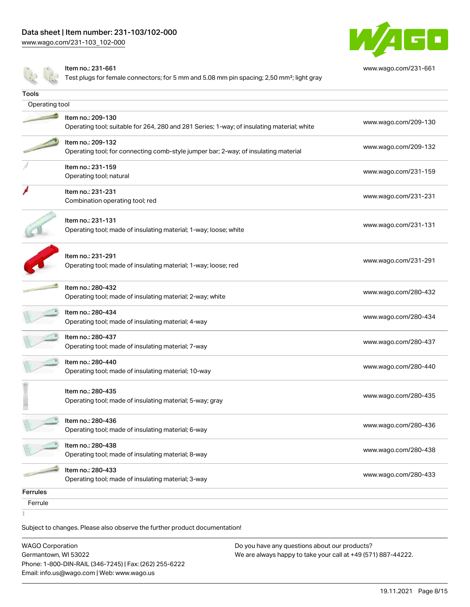[www.wago.com/231-103\\_102-000](http://www.wago.com/231-103_102-000)



[www.wago.com/231-661](http://www.wago.com/231-661)

Item no.: 231-661

Test plugs for female connectors; for 5 mm and 5.08 mm pin spacing; 2,50 mm²; light gray

| Tools           |                                                                                                                 |                      |
|-----------------|-----------------------------------------------------------------------------------------------------------------|----------------------|
| Operating tool  |                                                                                                                 |                      |
|                 | Item no.: 209-130<br>Operating tool; suitable for 264, 280 and 281 Series; 1-way; of insulating material; white | www.wago.com/209-130 |
|                 | Item no.: 209-132<br>Operating tool; for connecting comb-style jumper bar; 2-way; of insulating material        | www.wago.com/209-132 |
|                 | Item no.: 231-159<br>Operating tool; natural                                                                    | www.wago.com/231-159 |
|                 | Item no.: 231-231<br>Combination operating tool; red                                                            | www.wago.com/231-231 |
|                 | Item no.: 231-131<br>Operating tool; made of insulating material; 1-way; loose; white                           | www.wago.com/231-131 |
|                 | Item no.: 231-291<br>Operating tool; made of insulating material; 1-way; loose; red                             | www.wago.com/231-291 |
|                 | Item no.: 280-432<br>Operating tool; made of insulating material; 2-way; white                                  | www.wago.com/280-432 |
|                 | Item no.: 280-434<br>Operating tool; made of insulating material; 4-way                                         | www.wago.com/280-434 |
|                 | Item no.: 280-437<br>Operating tool; made of insulating material; 7-way                                         | www.wago.com/280-437 |
|                 | Item no.: 280-440<br>Operating tool; made of insulating material; 10-way                                        | www.wago.com/280-440 |
|                 | Item no.: 280-435<br>Operating tool; made of insulating material; 5-way; gray                                   | www.wago.com/280-435 |
|                 | Item no.: 280-436<br>Operating tool; made of insulating material; 6-way                                         | www.wago.com/280-436 |
|                 | Item no.: 280-438<br>Operating tool; made of insulating material; 8-way                                         | www.wago.com/280-438 |
|                 | Item no.: 280-433<br>Operating tool; made of insulating material; 3-way                                         | www.wago.com/280-433 |
| <b>Ferrules</b> |                                                                                                                 |                      |
| Ferrule         |                                                                                                                 |                      |
|                 |                                                                                                                 |                      |

Subject to changes. Please also observe the further product documentation!

WAGO Corporation Germantown, WI 53022 Phone: 1-800-DIN-RAIL (346-7245) | Fax: (262) 255-6222 Email: info.us@wago.com | Web: www.wago.us Do you have any questions about our products? We are always happy to take your call at +49 (571) 887-44222.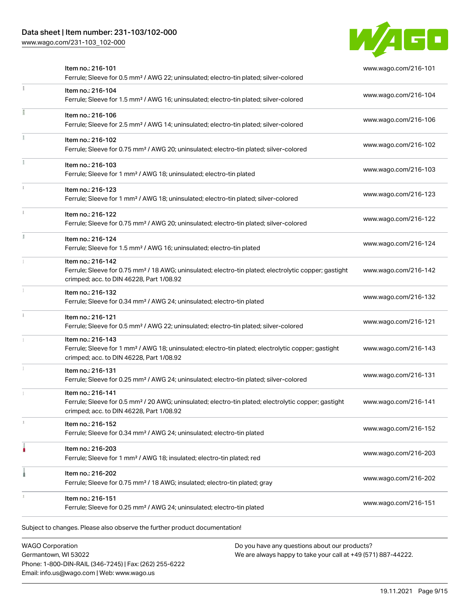### Data sheet | Item number: 231-103/102-000

[www.wago.com/231-103\\_102-000](http://www.wago.com/231-103_102-000)



| Item no.: 216-101<br>Ferrule; Sleeve for 0.5 mm <sup>2</sup> / AWG 22; uninsulated; electro-tin plated; silver-colored                                                             | www.wago.com/216-101 |
|------------------------------------------------------------------------------------------------------------------------------------------------------------------------------------|----------------------|
| Item no.: 216-104<br>Ferrule; Sleeve for 1.5 mm <sup>2</sup> / AWG 16; uninsulated; electro-tin plated; silver-colored                                                             | www.wago.com/216-104 |
| Item no.: 216-106<br>Ferrule; Sleeve for 2.5 mm <sup>2</sup> / AWG 14; uninsulated; electro-tin plated; silver-colored                                                             | www.wago.com/216-106 |
| Item no.: 216-102<br>Ferrule; Sleeve for 0.75 mm <sup>2</sup> / AWG 20; uninsulated; electro-tin plated; silver-colored                                                            | www.wago.com/216-102 |
| Item no.: 216-103<br>Ferrule; Sleeve for 1 mm <sup>2</sup> / AWG 18; uninsulated; electro-tin plated                                                                               | www.wago.com/216-103 |
| Item no.: 216-123<br>Ferrule; Sleeve for 1 mm <sup>2</sup> / AWG 18; uninsulated; electro-tin plated; silver-colored                                                               | www.wago.com/216-123 |
| Item no.: 216-122<br>Ferrule; Sleeve for 0.75 mm <sup>2</sup> / AWG 20; uninsulated; electro-tin plated; silver-colored                                                            | www.wago.com/216-122 |
| Item no.: 216-124<br>Ferrule; Sleeve for 1.5 mm <sup>2</sup> / AWG 16; uninsulated; electro-tin plated                                                                             | www.wago.com/216-124 |
| Item no.: 216-142<br>Ferrule; Sleeve for 0.75 mm <sup>2</sup> / 18 AWG; uninsulated; electro-tin plated; electrolytic copper; gastight<br>crimped; acc. to DIN 46228, Part 1/08.92 | www.wago.com/216-142 |
| Item no.: 216-132<br>Ferrule; Sleeve for 0.34 mm <sup>2</sup> / AWG 24; uninsulated; electro-tin plated                                                                            | www.wago.com/216-132 |
| Item no.: 216-121<br>Ferrule; Sleeve for 0.5 mm <sup>2</sup> / AWG 22; uninsulated; electro-tin plated; silver-colored                                                             | www.wago.com/216-121 |
| Item no.: 216-143<br>Ferrule; Sleeve for 1 mm <sup>2</sup> / AWG 18; uninsulated; electro-tin plated; electrolytic copper; gastight<br>crimped; acc. to DIN 46228, Part 1/08.92    | www.wago.com/216-143 |
| Item no.: 216-131<br>Ferrule; Sleeve for 0.25 mm <sup>2</sup> / AWG 24; uninsulated; electro-tin plated; silver-colored                                                            | www.wago.com/216-131 |
| Item no.: 216-141<br>Ferrule; Sleeve for 0.5 mm <sup>2</sup> / 20 AWG; uninsulated; electro-tin plated; electrolytic copper; gastight<br>crimped; acc. to DIN 46228, Part 1/08.92  | www.wago.com/216-141 |
| Item no.: 216-152<br>Ferrule; Sleeve for 0.34 mm <sup>2</sup> / AWG 24; uninsulated; electro-tin plated                                                                            | www.wago.com/216-152 |
| Item no.: 216-203<br>Ferrule; Sleeve for 1 mm <sup>2</sup> / AWG 18; insulated; electro-tin plated; red                                                                            | www.wago.com/216-203 |
| Item no.: 216-202<br>Ferrule; Sleeve for 0.75 mm <sup>2</sup> / 18 AWG; insulated; electro-tin plated; gray                                                                        | www.wago.com/216-202 |
| Item no.: 216-151<br>Ferrule; Sleeve for 0.25 mm <sup>2</sup> / AWG 24; uninsulated; electro-tin plated                                                                            | www.wago.com/216-151 |

WAGO Corporation Germantown, WI 53022 Phone: 1-800-DIN-RAIL (346-7245) | Fax: (262) 255-6222 Email: info.us@wago.com | Web: www.wago.us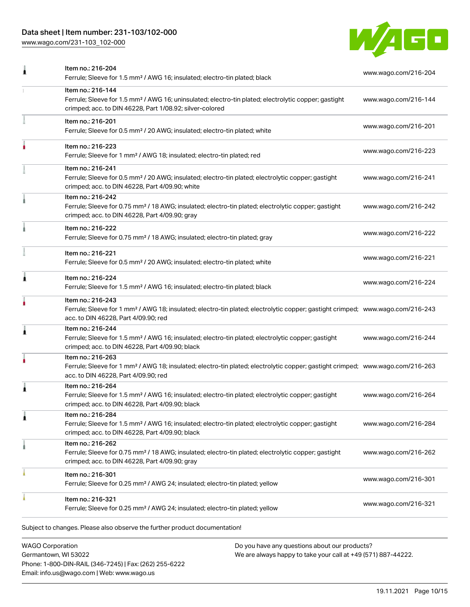### Data sheet | Item number: 231-103/102-000

[www.wago.com/231-103\\_102-000](http://www.wago.com/231-103_102-000)



| Item no.: 216-204                                                                                                                                                                                       | www.wago.com/216-204                                                                   |
|---------------------------------------------------------------------------------------------------------------------------------------------------------------------------------------------------------|----------------------------------------------------------------------------------------|
| Item no.: 216-144<br>Ferrule; Sleeve for 1.5 mm <sup>2</sup> / AWG 16; uninsulated; electro-tin plated; electrolytic copper; gastight<br>crimped; acc. to DIN 46228, Part 1/08.92; silver-colored       | www.wago.com/216-144                                                                   |
| Item no.: 216-201<br>Ferrule; Sleeve for 0.5 mm <sup>2</sup> / 20 AWG; insulated; electro-tin plated; white                                                                                             | www.wago.com/216-201                                                                   |
| Item no.: 216-223<br>Ferrule; Sleeve for 1 mm <sup>2</sup> / AWG 18; insulated; electro-tin plated; red                                                                                                 | www.wago.com/216-223                                                                   |
| Item no.: 216-241<br>Ferrule; Sleeve for 0.5 mm <sup>2</sup> / 20 AWG; insulated; electro-tin plated; electrolytic copper; gastight<br>crimped; acc. to DIN 46228, Part 4/09.90; white                  | www.wago.com/216-241                                                                   |
| Item no.: 216-242<br>Ferrule; Sleeve for 0.75 mm <sup>2</sup> / 18 AWG; insulated; electro-tin plated; electrolytic copper; gastight<br>crimped; acc. to DIN 46228, Part 4/09.90; gray                  | www.wago.com/216-242                                                                   |
| Item no.: 216-222<br>Ferrule; Sleeve for 0.75 mm <sup>2</sup> / 18 AWG; insulated; electro-tin plated; gray                                                                                             | www.wago.com/216-222                                                                   |
| Item no.: 216-221<br>Ferrule; Sleeve for 0.5 mm <sup>2</sup> / 20 AWG; insulated; electro-tin plated; white                                                                                             | www.wago.com/216-221                                                                   |
| Item no.: 216-224<br>Ferrule; Sleeve for 1.5 mm <sup>2</sup> / AWG 16; insulated; electro-tin plated; black                                                                                             | www.wago.com/216-224                                                                   |
| Item no.: 216-243<br>Ferrule; Sleeve for 1 mm <sup>2</sup> / AWG 18; insulated; electro-tin plated; electrolytic copper; gastight crimped; www.wago.com/216-243<br>acc. to DIN 46228, Part 4/09.90; red |                                                                                        |
| Item no.: 216-244<br>Ferrule; Sleeve for 1.5 mm <sup>2</sup> / AWG 16; insulated; electro-tin plated; electrolytic copper; gastight<br>crimped; acc. to DIN 46228, Part 4/09.90; black                  | www.wago.com/216-244                                                                   |
| Item no.: 216-263<br>Ferrule; Sleeve for 1 mm <sup>2</sup> / AWG 18; insulated; electro-tin plated; electrolytic copper; gastight crimped; www.wago.com/216-263<br>acc. to DIN 46228, Part 4/09.90; red |                                                                                        |
| Item no.: 216-264<br>Ferrule; Sleeve for 1.5 mm <sup>2</sup> / AWG 16; insulated; electro-tin plated; electrolytic copper; gastight<br>crimped; acc. to DIN 46228, Part 4/09.90; black                  | www.wago.com/216-264                                                                   |
| Item no.: 216-284<br>Ferrule; Sleeve for 1.5 mm <sup>2</sup> / AWG 16; insulated; electro-tin plated; electrolytic copper; gastight<br>crimped; acc. to DIN 46228, Part 4/09.90; black                  | www.wago.com/216-284                                                                   |
| Item no.: 216-262<br>Ferrule; Sleeve for 0.75 mm <sup>2</sup> / 18 AWG; insulated; electro-tin plated; electrolytic copper; gastight<br>crimped; acc. to DIN 46228, Part 4/09.90; gray                  | www.wago.com/216-262                                                                   |
| Item no.: 216-301<br>Ferrule; Sleeve for 0.25 mm <sup>2</sup> / AWG 24; insulated; electro-tin plated; yellow                                                                                           | www.wago.com/216-301                                                                   |
| Item no.: 216-321<br>Ferrule; Sleeve for 0.25 mm <sup>2</sup> / AWG 24; insulated; electro-tin plated; yellow                                                                                           | www.wago.com/216-321                                                                   |
|                                                                                                                                                                                                         | Ferrule; Sleeve for 1.5 mm <sup>2</sup> / AWG 16; insulated; electro-tin plated; black |

WAGO Corporation Germantown, WI 53022 Phone: 1-800-DIN-RAIL (346-7245) | Fax: (262) 255-6222 Email: info.us@wago.com | Web: www.wago.us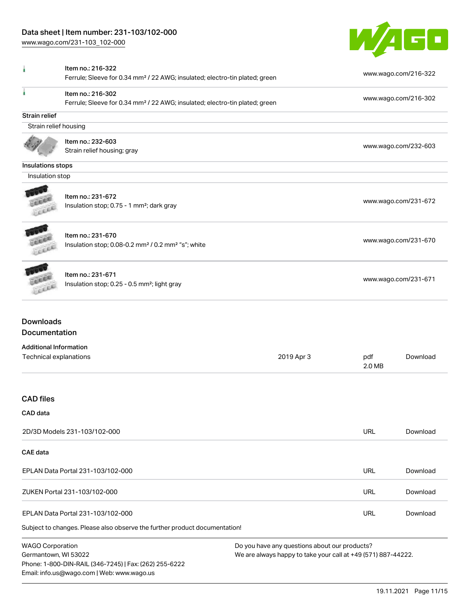Email: info.us@wago.com | Web: www.wago.us

[www.wago.com/231-103\\_102-000](http://www.wago.com/231-103_102-000)



|                                                         | Item no.: 216-322                                                                                            |                                                               |            |                      |
|---------------------------------------------------------|--------------------------------------------------------------------------------------------------------------|---------------------------------------------------------------|------------|----------------------|
|                                                         | Ferrule; Sleeve for 0.34 mm <sup>2</sup> / 22 AWG; insulated; electro-tin plated; green                      |                                                               |            | www.wago.com/216-322 |
|                                                         | Item no.: 216-302<br>Ferrule; Sleeve for 0.34 mm <sup>2</sup> / 22 AWG; insulated; electro-tin plated; green |                                                               |            | www.wago.com/216-302 |
| <b>Strain relief</b>                                    |                                                                                                              |                                                               |            |                      |
| Strain relief housing                                   |                                                                                                              |                                                               |            |                      |
|                                                         | Item no.: 232-603                                                                                            |                                                               |            |                      |
|                                                         | Strain relief housing; gray                                                                                  |                                                               |            | www.wago.com/232-603 |
| Insulations stops                                       |                                                                                                              |                                                               |            |                      |
| Insulation stop                                         |                                                                                                              |                                                               |            |                      |
|                                                         |                                                                                                              |                                                               |            |                      |
|                                                         | Item no.: 231-672                                                                                            |                                                               |            | www.wago.com/231-672 |
|                                                         | Insulation stop; 0.75 - 1 mm <sup>2</sup> ; dark gray                                                        |                                                               |            |                      |
|                                                         | Item no.: 231-670                                                                                            |                                                               |            |                      |
|                                                         | Insulation stop; 0.08-0.2 mm <sup>2</sup> / 0.2 mm <sup>2</sup> "s"; white                                   |                                                               |            | www.wago.com/231-670 |
|                                                         |                                                                                                              |                                                               |            |                      |
|                                                         | Item no.: 231-671                                                                                            |                                                               |            |                      |
|                                                         | Insulation stop; 0.25 - 0.5 mm <sup>2</sup> ; light gray                                                     |                                                               |            | www.wago.com/231-671 |
| <b>Downloads</b><br>Documentation                       |                                                                                                              |                                                               |            |                      |
|                                                         |                                                                                                              |                                                               |            |                      |
| <b>Additional Information</b><br>Technical explanations |                                                                                                              | 2019 Apr 3                                                    | pdf        | Download             |
|                                                         |                                                                                                              |                                                               | 2.0 MB     |                      |
| <b>CAD</b> files                                        |                                                                                                              |                                                               |            |                      |
| CAD data                                                |                                                                                                              |                                                               |            |                      |
|                                                         | 2D/3D Models 231-103/102-000                                                                                 |                                                               | <b>URL</b> | Download             |
| <b>CAE</b> data                                         |                                                                                                              |                                                               |            |                      |
|                                                         | EPLAN Data Portal 231-103/102-000                                                                            |                                                               | <b>URL</b> | Download             |
|                                                         | ZUKEN Portal 231-103/102-000                                                                                 |                                                               | <b>URL</b> | Download             |
|                                                         | EPLAN Data Portal 231-103/102-000                                                                            |                                                               | URL        | Download             |
|                                                         | Subject to changes. Please also observe the further product documentation!                                   |                                                               |            |                      |
| <b>WAGO Corporation</b>                                 |                                                                                                              | Do you have any questions about our products?                 |            |                      |
| Germantown, WI 53022                                    |                                                                                                              | We are always happy to take your call at +49 (571) 887-44222. |            |                      |
|                                                         | Phone: 1-800-DIN-RAIL (346-7245)   Fax: (262) 255-6222                                                       |                                                               |            |                      |

19.11.2021 Page 11/15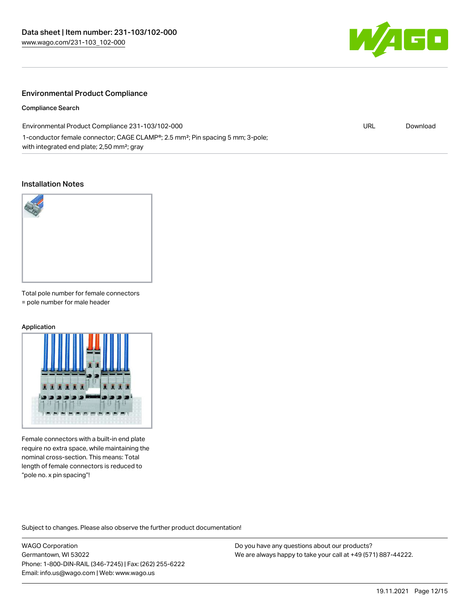

#### Environmental Product Compliance

Compliance Search

Environmental Product Compliance 231-103/102-000 1-conductor female connector; CAGE CLAMP®; 2.5 mm²; Pin spacing 5 mm; 3-pole; with integrated end plate; 2,50 mm²; gray

# URL [Download](https://www.wago.com/global/d/ComplianceLinkMediaContainer_231-103_102-000)

#### Installation Notes



Total pole number for female connectors = pole number for male header

#### Application



Female connectors with a built-in end plate require no extra space, while maintaining the nominal cross-section. This means: Total length of female connectors is reduced to "pole no. x pin spacing"!

Subject to changes. Please also observe the further product documentation!

WAGO Corporation Germantown, WI 53022 Phone: 1-800-DIN-RAIL (346-7245) | Fax: (262) 255-6222 Email: info.us@wago.com | Web: www.wago.us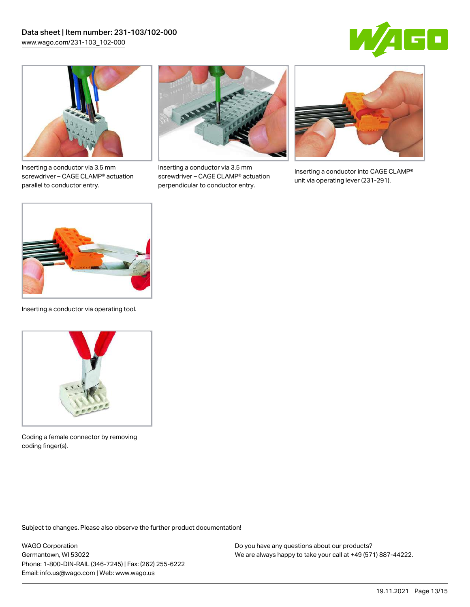



Inserting a conductor via 3.5 mm screwdriver – CAGE CLAMP® actuation parallel to conductor entry.



Inserting a conductor via 3.5 mm screwdriver – CAGE CLAMP® actuation perpendicular to conductor entry.



Inserting a conductor into CAGE CLAMP® unit via operating lever (231-291).



Inserting a conductor via operating tool.



Coding a female connector by removing coding finger(s).

Subject to changes. Please also observe the further product documentation!

WAGO Corporation Germantown, WI 53022 Phone: 1-800-DIN-RAIL (346-7245) | Fax: (262) 255-6222 Email: info.us@wago.com | Web: www.wago.us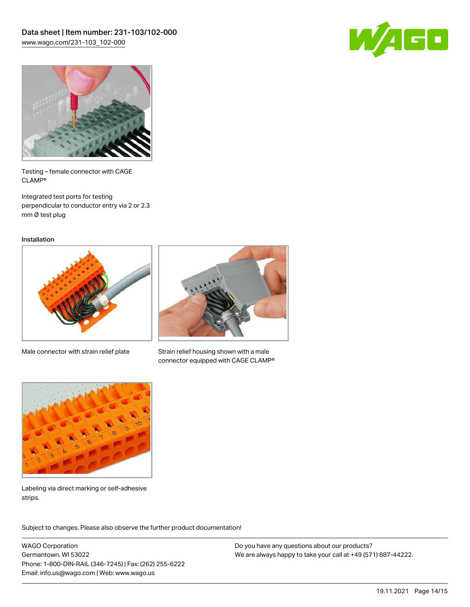



Testing – female connector with CAGE CLAMP®

Integrated test ports for testing perpendicular to conductor entry via 2 or 2.3 mm Ø test plug

Installation



Male connector with strain relief plate



Strain relief housing shown with a male connector equipped with CAGE CLAMP®



Labeling via direct marking or self-adhesive strips.

Subject to changes. Please also observe the further product documentation! Product family

WAGO Corporation Germantown, WI 53022 Phone: 1-800-DIN-RAIL (346-7245) | Fax: (262) 255-6222 Email: info.us@wago.com | Web: www.wago.us